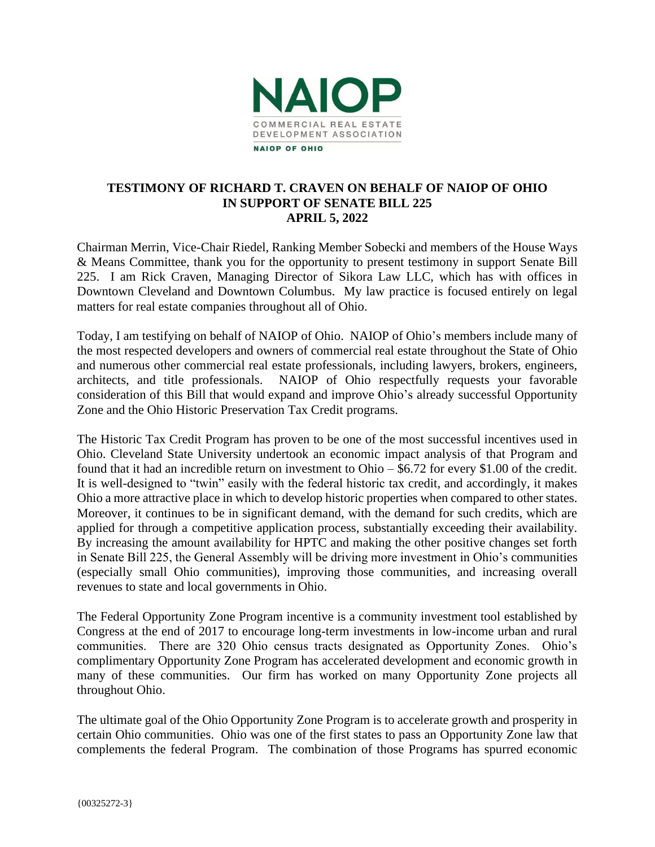

## **TESTIMONY OF RICHARD T. CRAVEN ON BEHALF OF NAIOP OF OHIO IN SUPPORT OF SENATE BILL 225 APRIL 5, 2022**

Chairman Merrin, Vice-Chair Riedel, Ranking Member Sobecki and members of the House Ways & Means Committee, thank you for the opportunity to present testimony in support Senate Bill 225. I am Rick Craven, Managing Director of Sikora Law LLC, which has with offices in Downtown Cleveland and Downtown Columbus. My law practice is focused entirely on legal matters for real estate companies throughout all of Ohio.

Today, I am testifying on behalf of NAIOP of Ohio. NAIOP of Ohio's members include many of the most respected developers and owners of commercial real estate throughout the State of Ohio and numerous other commercial real estate professionals, including lawyers, brokers, engineers, architects, and title professionals. NAIOP of Ohio respectfully requests your favorable consideration of this Bill that would expand and improve Ohio's already successful Opportunity Zone and the Ohio Historic Preservation Tax Credit programs.

The Historic Tax Credit Program has proven to be one of the most successful incentives used in Ohio. Cleveland State University undertook an economic impact analysis of that Program and found that it had an incredible return on investment to Ohio – \$6.72 for every \$1.00 of the credit. It is well-designed to "twin" easily with the federal historic tax credit, and accordingly, it makes Ohio a more attractive place in which to develop historic properties when compared to other states. Moreover, it continues to be in significant demand, with the demand for such credits, which are applied for through a competitive application process, substantially exceeding their availability. By increasing the amount availability for HPTC and making the other positive changes set forth in Senate Bill 225, the General Assembly will be driving more investment in Ohio's communities (especially small Ohio communities), improving those communities, and increasing overall revenues to state and local governments in Ohio.

The Federal Opportunity Zone Program incentive is a community investment tool established by Congress at the end of 2017 to encourage long-term investments in low-income urban and rural communities. There are 320 Ohio census tracts designated as Opportunity Zones. Ohio's complimentary Opportunity Zone Program has accelerated development and economic growth in many of these communities. Our firm has worked on many Opportunity Zone projects all throughout Ohio.

The ultimate goal of the Ohio Opportunity Zone Program is to accelerate growth and prosperity in certain Ohio communities. Ohio was one of the first states to pass an Opportunity Zone law that complements the federal Program. The combination of those Programs has spurred economic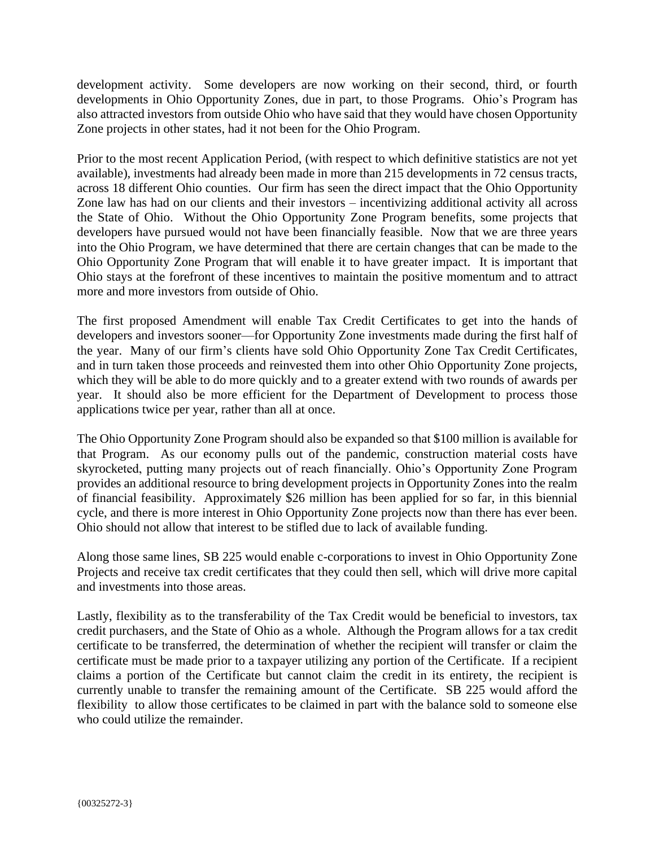development activity. Some developers are now working on their second, third, or fourth developments in Ohio Opportunity Zones, due in part, to those Programs. Ohio's Program has also attracted investors from outside Ohio who have said that they would have chosen Opportunity Zone projects in other states, had it not been for the Ohio Program.

Prior to the most recent Application Period, (with respect to which definitive statistics are not yet available), investments had already been made in more than 215 developments in 72 census tracts, across 18 different Ohio counties. Our firm has seen the direct impact that the Ohio Opportunity Zone law has had on our clients and their investors – incentivizing additional activity all across the State of Ohio. Without the Ohio Opportunity Zone Program benefits, some projects that developers have pursued would not have been financially feasible. Now that we are three years into the Ohio Program, we have determined that there are certain changes that can be made to the Ohio Opportunity Zone Program that will enable it to have greater impact. It is important that Ohio stays at the forefront of these incentives to maintain the positive momentum and to attract more and more investors from outside of Ohio.

The first proposed Amendment will enable Tax Credit Certificates to get into the hands of developers and investors sooner—for Opportunity Zone investments made during the first half of the year. Many of our firm's clients have sold Ohio Opportunity Zone Tax Credit Certificates, and in turn taken those proceeds and reinvested them into other Ohio Opportunity Zone projects, which they will be able to do more quickly and to a greater extend with two rounds of awards per year. It should also be more efficient for the Department of Development to process those applications twice per year, rather than all at once.

The Ohio Opportunity Zone Program should also be expanded so that \$100 million is available for that Program. As our economy pulls out of the pandemic, construction material costs have skyrocketed, putting many projects out of reach financially. Ohio's Opportunity Zone Program provides an additional resource to bring development projects in Opportunity Zones into the realm of financial feasibility. Approximately \$26 million has been applied for so far, in this biennial cycle, and there is more interest in Ohio Opportunity Zone projects now than there has ever been. Ohio should not allow that interest to be stifled due to lack of available funding.

Along those same lines, SB 225 would enable c-corporations to invest in Ohio Opportunity Zone Projects and receive tax credit certificates that they could then sell, which will drive more capital and investments into those areas.

Lastly, flexibility as to the transferability of the Tax Credit would be beneficial to investors, tax credit purchasers, and the State of Ohio as a whole. Although the Program allows for a tax credit certificate to be transferred, the determination of whether the recipient will transfer or claim the certificate must be made prior to a taxpayer utilizing any portion of the Certificate. If a recipient claims a portion of the Certificate but cannot claim the credit in its entirety, the recipient is currently unable to transfer the remaining amount of the Certificate. SB 225 would afford the flexibility to allow those certificates to be claimed in part with the balance sold to someone else who could utilize the remainder.